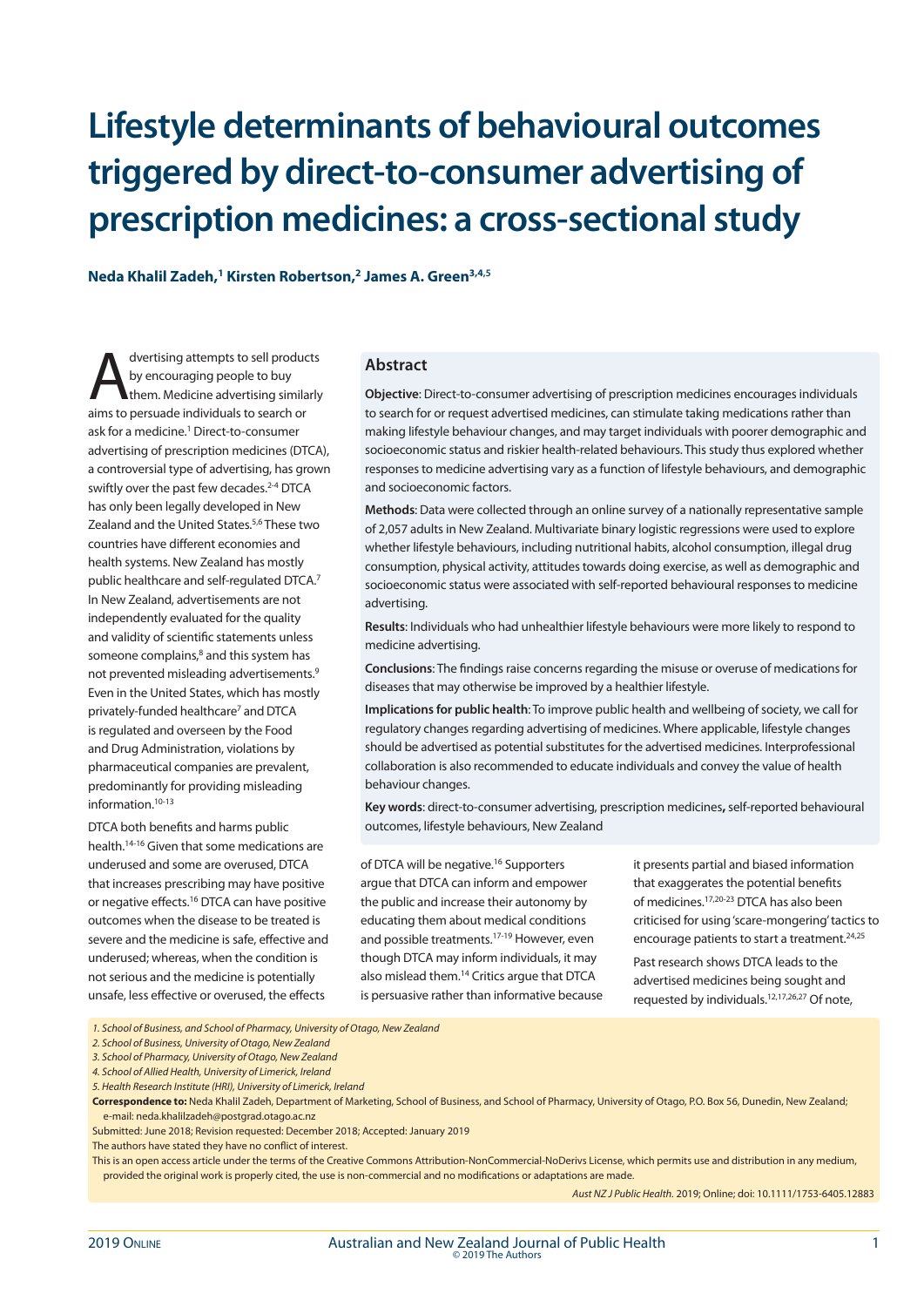# **Lifestyle determinants of behavioural outcomes triggered by direct-to-consumer advertising of prescription medicines: a cross-sectional study**

**Neda Khalil Zadeh,1 Kirsten Robertson,2 James A. Green3,4,5**

dvertising attempts to sell products<br>by encouraging people to buy<br>them. Medicine advertising similarly<br>aims to persuade individuals to seasch or by encouraging people to buy aims to persuade individuals to search or ask for a medicine.<sup>1</sup> Direct-to-consumer advertising of prescription medicines (DTCA), a controversial type of advertising, has grown swiftly over the past few decades.<sup>2-4</sup> DTCA has only been legally developed in New Zealand and the United States.5,6 These two countries have different economies and health systems. New Zealand has mostly public healthcare and self-regulated DTCA.<sup>7</sup> In New Zealand, advertisements are not independently evaluated for the quality and validity of scientific statements unless someone complains,<sup>8</sup> and this system has not prevented misleading advertisements.9 Even in the United States, which has mostly privately-funded healthcare<sup>7</sup> and DTCA is regulated and overseen by the Food and Drug Administration, violations by pharmaceutical companies are prevalent, predominantly for providing misleading information.10-13

DTCA both benefits and harms public health.14-16 Given that some medications are underused and some are overused, DTCA that increases prescribing may have positive or negative effects.16 DTCA can have positive outcomes when the disease to be treated is severe and the medicine is safe, effective and underused; whereas, when the condition is not serious and the medicine is potentially unsafe, less effective or overused, the effects

#### **Abstract**

**Objective**: Direct-to-consumer advertising of prescription medicines encourages individuals to search for or request advertised medicines, can stimulate taking medications rather than making lifestyle behaviour changes, and may target individuals with poorer demographic and socioeconomic status and riskier health-related behaviours. This study thus explored whether responses to medicine advertising vary as a function of lifestyle behaviours, and demographic and socioeconomic factors.

**Methods**: Data were collected through an online survey of a nationally representative sample of 2,057 adults in New Zealand. Multivariate binary logistic regressions were used to explore whether lifestyle behaviours, including nutritional habits, alcohol consumption, illegal drug consumption, physical activity, attitudes towards doing exercise, as well as demographic and socioeconomic status were associated with self-reported behavioural responses to medicine advertising.

**Results**: Individuals who had unhealthier lifestyle behaviours were more likely to respond to medicine advertising.

**Conclusions**: The findings raise concerns regarding the misuse or overuse of medications for diseases that may otherwise be improved by a healthier lifestyle.

**Implications for public health**: To improve public health and wellbeing of society, we call for regulatory changes regarding advertising of medicines. Where applicable, lifestyle changes should be advertised as potential substitutes for the advertised medicines. Interprofessional collaboration is also recommended to educate individuals and convey the value of health behaviour changes.

**Key words**: direct-to-consumer advertising, prescription medicines**,** self-reported behavioural outcomes, lifestyle behaviours, New Zealand

### of DTCA will be negative.<sup>16</sup> Supporters

argue that DTCA can inform and empower the public and increase their autonomy by educating them about medical conditions and possible treatments.17-19 However, even though DTCA may inform individuals, it may also mislead them.14 Critics argue that DTCA is persuasive rather than informative because it presents partial and biased information that exaggerates the potential benefits of medicines.17,20-23 DTCA has also been criticised for using 'scare-mongering' tactics to encourage patients to start a treatment.<sup>24,25</sup>

Past research shows DTCA leads to the advertised medicines being sought and requested by individuals.12,17,26,27 Of note,

*1. School of Business, and School of Pharmacy, University of Otago, New Zealand*

*2. School of Business, University of Otago, New Zealand*

*3. School of Pharmacy, University of Otago, New Zealand*

*4. School of Allied Health, University of Limerick, Ireland*

Submitted: June 2018; Revision requested: December 2018; Accepted: January 2019

The authors have stated they have no conflict of interest.

This is an open access article under the terms of the Creative Commons Attribution-NonCommercial-NoDerivs License, which permits use and distribution in any medium, provided the original work is properly cited, the use is non-commercial and no modifications or adaptations are made.

*Aust NZ J Public Health.* 2019; Online; doi: 10.1111/1753-6405.12883

*<sup>5.</sup> Health Research Institute (HRI), University of Limerick, Ireland*

**Correspondence to:** Neda Khalil Zadeh, Department of Marketing, School of Business, and School of Pharmacy, University of Otago, P.O. Box 56, Dunedin, New Zealand; e-mail: neda.khalilzadeh@postgrad.otago.ac.nz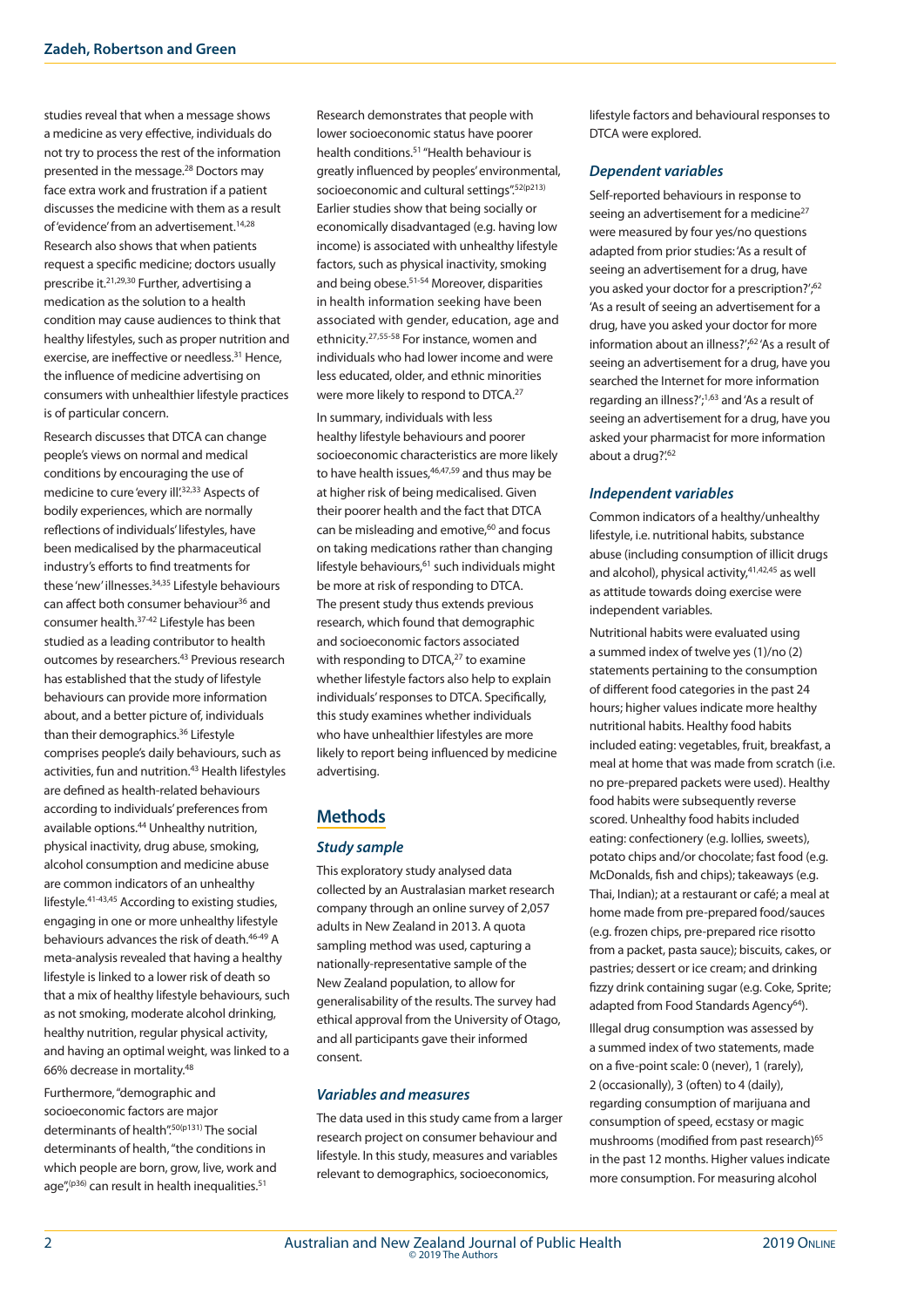studies reveal that when a message shows a medicine as very effective, individuals do not try to process the rest of the information presented in the message.28 Doctors may face extra work and frustration if a patient discusses the medicine with them as a result of 'evidence' from an advertisement.<sup>14,28</sup> Research also shows that when patients request a specific medicine; doctors usually prescribe it.21,29,30 Further, advertising a medication as the solution to a health condition may cause audiences to think that healthy lifestyles, such as proper nutrition and exercise, are ineffective or needless.<sup>31</sup> Hence, the influence of medicine advertising on consumers with unhealthier lifestyle practices is of particular concern.

Research discusses that DTCA can change people's views on normal and medical conditions by encouraging the use of medicine to cure 'every ill'.<sup>32,33</sup> Aspects of bodily experiences, which are normally reflections of individuals' lifestyles, have been medicalised by the pharmaceutical industry's efforts to find treatments for these 'new' illnesses.<sup>34,35</sup> Lifestyle behaviours can affect both consumer behaviour<sup>36</sup> and consumer health.37-42 Lifestyle has been studied as a leading contributor to health outcomes by researchers.43 Previous research has established that the study of lifestyle behaviours can provide more information about, and a better picture of, individuals than their demographics.36 Lifestyle comprises people's daily behaviours, such as activities, fun and nutrition.43 Health lifestyles are defined as health-related behaviours according to individuals' preferences from available options.44 Unhealthy nutrition, physical inactivity, drug abuse, smoking, alcohol consumption and medicine abuse are common indicators of an unhealthy lifestyle.41-43,45 According to existing studies, engaging in one or more unhealthy lifestyle behaviours advances the risk of death.46-49 A meta-analysis revealed that having a healthy lifestyle is linked to a lower risk of death so that a mix of healthy lifestyle behaviours, such as not smoking, moderate alcohol drinking, healthy nutrition, regular physical activity, and having an optimal weight, was linked to a 66% decrease in mortality.48

Furthermore, "demographic and socioeconomic factors are major determinants of health".50(p131) The social determinants of health, "the conditions in which people are born, grow, live, work and age",  $($  $p36)$  can result in health inequalities.<sup>51</sup>

Research demonstrates that people with lower socioeconomic status have poorer health conditions.51 "Health behaviour is greatly influenced by peoples' environmental, socioeconomic and cultural settings".<sup>52(p213)</sup> Earlier studies show that being socially or economically disadvantaged (e.g. having low income) is associated with unhealthy lifestyle factors, such as physical inactivity, smoking and being obese.51-54 Moreover, disparities in health information seeking have been associated with gender, education, age and ethnicity.27,55-58 For instance, women and individuals who had lower income and were less educated, older, and ethnic minorities were more likely to respond to DTCA.27

In summary, individuals with less healthy lifestyle behaviours and poorer socioeconomic characteristics are more likely to have health issues, $46,47,59$  and thus may be at higher risk of being medicalised. Given their poorer health and the fact that DTCA can be misleading and emotive,<sup>60</sup> and focus on taking medications rather than changing lifestyle behaviours, $61$  such individuals might be more at risk of responding to DTCA. The present study thus extends previous research, which found that demographic and socioeconomic factors associated with responding to DTCA, $27$  to examine whether lifestyle factors also help to explain individuals' responses to DTCA. Specifically, this study examines whether individuals who have unhealthier lifestyles are more likely to report being influenced by medicine advertising.

# **Methods**

#### *Study sample*

This exploratory study analysed data collected by an Australasian market research company through an online survey of 2,057 adults in New Zealand in 2013. A quota sampling method was used, capturing a nationally-representative sample of the New Zealand population, to allow for generalisability of the results. The survey had ethical approval from the University of Otago, and all participants gave their informed consent.

#### *Variables and measures*

The data used in this study came from a larger research project on consumer behaviour and lifestyle. In this study, measures and variables relevant to demographics, socioeconomics,

lifestyle factors and behavioural responses to DTCA were explored.

#### *Dependent variables*

Self-reported behaviours in response to seeing an advertisement for a medicine<sup>27</sup> were measured by four yes/no questions adapted from prior studies: 'As a result of seeing an advertisement for a drug, have you asked your doctor for a prescription?';62 'As a result of seeing an advertisement for a drug, have you asked your doctor for more information about an illness?';<sup>62</sup>'As a result of seeing an advertisement for a drug, have you searched the Internet for more information regarding an illness?';<sup>1,63</sup> and 'As a result of seeing an advertisement for a drug, have you asked your pharmacist for more information about a drug?'.<sup>62</sup>

#### *Independent variables*

Common indicators of a healthy/unhealthy lifestyle, i.e. nutritional habits, substance abuse (including consumption of illicit drugs and alcohol), physical activity, $41,42,45$  as well as attitude towards doing exercise were independent variables.

Nutritional habits were evaluated using a summed index of twelve yes (1)/no (2) statements pertaining to the consumption of different food categories in the past 24 hours; higher values indicate more healthy nutritional habits. Healthy food habits included eating: vegetables, fruit, breakfast, a meal at home that was made from scratch (i.e. no pre-prepared packets were used). Healthy food habits were subsequently reverse scored. Unhealthy food habits included eating: confectionery (e.g. lollies, sweets), potato chips and/or chocolate; fast food (e.g. McDonalds, fish and chips); takeaways (e.g. Thai, Indian); at a restaurant or café; a meal at home made from pre-prepared food/sauces (e.g. frozen chips, pre-prepared rice risotto from a packet, pasta sauce); biscuits, cakes, or pastries; dessert or ice cream; and drinking fizzy drink containing sugar (e.g. Coke, Sprite; adapted from Food Standards Agency<sup>64</sup>).

Illegal drug consumption was assessed by a summed index of two statements, made on a five-point scale: 0 (never), 1 (rarely), 2 (occasionally), 3 (often) to 4 (daily), regarding consumption of marijuana and consumption of speed, ecstasy or magic mushrooms (modified from past research)<sup>65</sup> in the past 12 months. Higher values indicate more consumption. For measuring alcohol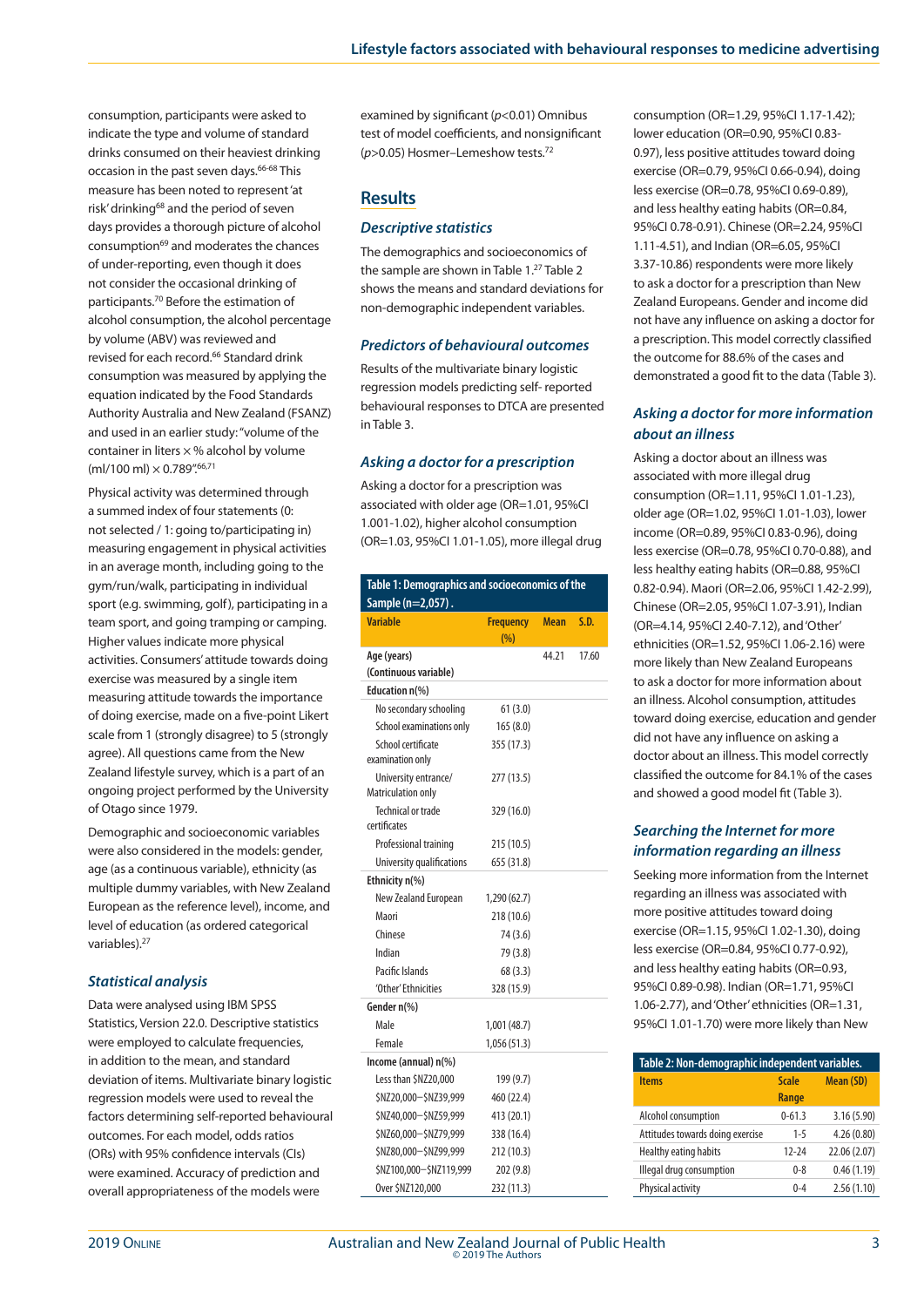consumption, participants were asked to indicate the type and volume of standard drinks consumed on their heaviest drinking occasion in the past seven days.<sup>66-68</sup> This measure has been noted to represent 'at risk' drinking<sup>68</sup> and the period of seven days provides a thorough picture of alcohol consumption<sup>69</sup> and moderates the chances of under-reporting, even though it does not consider the occasional drinking of participants.70 Before the estimation of alcohol consumption, the alcohol percentage by volume (ABV) was reviewed and revised for each record.<sup>66</sup> Standard drink consumption was measured by applying the equation indicated by the Food Standards Authority Australia and New Zealand (FSANZ) and used in an earlier study: "volume of the container in liters  $\times$  % alcohol by volume  $(m!/100 \text{ ml}) \times 0.789$ ".66,71

Physical activity was determined through a summed index of four statements (0: not selected / 1: going to/participating in) measuring engagement in physical activities in an average month, including going to the gym/run/walk, participating in individual sport (e.g. swimming, golf), participating in a team sport, and going tramping or camping. Higher values indicate more physical activities. Consumers' attitude towards doing exercise was measured by a single item measuring attitude towards the importance of doing exercise, made on a five-point Likert scale from 1 (strongly disagree) to 5 (strongly agree). All questions came from the New Zealand lifestyle survey, which is a part of an ongoing project performed by the University of Otago since 1979.

Demographic and socioeconomic variables were also considered in the models: gender, age (as a continuous variable), ethnicity (as multiple dummy variables, with New Zealand European as the reference level), income, and level of education (as ordered categorical variables).27

## *Statistical analysis*

Data were analysed using IBM SPSS Statistics, Version 22.0. Descriptive statistics were employed to calculate frequencies. in addition to the mean, and standard deviation of items. Multivariate binary logistic regression models were used to reveal the factors determining self-reported behavioural outcomes. For each model, odds ratios (ORs) with 95% confidence intervals (CIs) were examined. Accuracy of prediction and overall appropriateness of the models were

examined by significant (*p*<0.01) Omnibus test of model coefficients, and nonsignificant (*p*>0.05) Hosmer–Lemeshow tests.72

# **Results**

## *Descriptive statistics*

The demographics and socioeconomics of the sample are shown in Table 1.27 Table 2 shows the means and standard deviations for non-demographic independent variables.

#### *Predictors of behavioural outcomes*

Results of the multivariate binary logistic regression models predicting self- reported behavioural responses to DTCA are presented in Table 3.

#### *Asking a doctor for a prescription*

Asking a doctor for a prescription was associated with older age (OR=1.01, 95%CI 1.001-1.02), higher alcohol consumption (OR=1.03, 95%CI 1.01-1.05), more illegal drug

| Table 1: Demographics and socioeconomics of the |                         |             |       |  |  |
|-------------------------------------------------|-------------------------|-------------|-------|--|--|
| Sample (n=2,057).                               |                         |             |       |  |  |
| <b>Variable</b>                                 | <b>Frequency</b><br>(%) | <b>Mean</b> | S.D.  |  |  |
| Age (years)                                     |                         | 44.21       | 17.60 |  |  |
| (Continuous variable)                           |                         |             |       |  |  |
| Education n(%)                                  |                         |             |       |  |  |
| No secondary schooling                          | 61(3.0)                 |             |       |  |  |
| School examinations only                        | 165(8.0)                |             |       |  |  |
| School certificate<br>examination only          | 355 (17.3)              |             |       |  |  |
| University entrance/<br>Matriculation only      | 277(13.5)               |             |       |  |  |
| <b>Technical or trade</b><br>certificates       | 329 (16.0)              |             |       |  |  |
| Professional training                           | 215 (10.5)              |             |       |  |  |
| University qualifications                       | 655 (31.8)              |             |       |  |  |
| Ethnicity n(%)                                  |                         |             |       |  |  |
| New Zealand European                            | 1,290(62.7)             |             |       |  |  |
| Maori                                           | 218 (10.6)              |             |       |  |  |
| Chinese                                         | 74 (3.6)                |             |       |  |  |
| Indian                                          | 79 (3.8)                |             |       |  |  |
| Pacific Islands                                 | 68(3.3)                 |             |       |  |  |
| 'Other' Ethnicities                             | 328 (15.9)              |             |       |  |  |
| Gender n(%)                                     |                         |             |       |  |  |
| Male                                            | 1,001 (48.7)            |             |       |  |  |
| Female                                          | 1,056 (51.3)            |             |       |  |  |
| Income (annual) n(%)                            |                         |             |       |  |  |
| Less than \$NZ20,000                            | 199 (9.7)               |             |       |  |  |
| \$NZ20,000-\$NZ39,999                           | 460 (22.4)              |             |       |  |  |
| \$NZ40,000-\$NZ59,999                           | 413 (20.1)              |             |       |  |  |
| \$NZ60,000-\$NZ79,999                           | 338 (16.4)              |             |       |  |  |
| \$NZ80,000-\$NZ99,999                           | 212 (10.3)              |             |       |  |  |
| \$NZ100,000-\$NZ119,999                         | 202 (9.8)               |             |       |  |  |
| Over \$NZ120,000                                | 232 (11.3)              |             |       |  |  |

consumption (OR=1.29, 95%CI 1.17-1.42); lower education (OR=0.90, 95%CI 0.83- 0.97), less positive attitudes toward doing exercise (OR=0.79, 95%CI 0.66-0.94), doing less exercise (OR=0.78, 95%CI 0.69-0.89), and less healthy eating habits (OR=0.84, 95%CI 0.78-0.91). Chinese (OR=2.24, 95%CI 1.11-4.51), and Indian (OR=6.05, 95%CI 3.37-10.86) respondents were more likely to ask a doctor for a prescription than New Zealand Europeans. Gender and income did not have any influence on asking a doctor for a prescription. This model correctly classified the outcome for 88.6% of the cases and demonstrated a good fit to the data (Table 3).

## *Asking a doctor for more information about an illness*

Asking a doctor about an illness was associated with more illegal drug consumption (OR=1.11, 95%CI 1.01-1.23), older age (OR=1.02, 95%CI 1.01-1.03), lower income (OR=0.89, 95%CI 0.83-0.96), doing less exercise (OR=0.78, 95%CI 0.70-0.88), and less healthy eating habits (OR=0.88, 95%CI 0.82-0.94). Maori (OR=2.06, 95%CI 1.42-2.99), Chinese (OR=2.05, 95%CI 1.07-3.91), Indian (OR=4.14, 95%CI 2.40-7.12), and 'Other' ethnicities (OR=1.52, 95%CI 1.06-2.16) were more likely than New Zealand Europeans to ask a doctor for more information about an illness. Alcohol consumption, attitudes toward doing exercise, education and gender did not have any influence on asking a doctor about an illness. This model correctly classified the outcome for 84.1% of the cases and showed a good model fit (Table 3).

## *Searching the Internet for more information regarding an illness*

Seeking more information from the Internet regarding an illness was associated with more positive attitudes toward doing exercise (OR=1.15, 95%CI 1.02-1.30), doing less exercise (OR=0.84, 95%CI 0.77-0.92), and less healthy eating habits (OR=0.93, 95%CI 0.89-0.98). Indian (OR=1.71, 95%CI 1.06-2.77), and 'Other' ethnicities (OR=1.31, 95%CI 1.01-1.70) were more likely than New

| Table 2: Non-demographic independent variables. |                           |              |  |  |  |
|-------------------------------------------------|---------------------------|--------------|--|--|--|
| <b>Items</b>                                    | <b>Scale</b><br>Mean (SD) |              |  |  |  |
|                                                 | Range                     |              |  |  |  |
| Alcohol consumption                             | $0 - 61.3$                | 3.16(5.90)   |  |  |  |
| Attitudes towards doing exercise                | $1 - 5$                   | 4.26(0.80)   |  |  |  |
| Healthy eating habits                           | 12-24                     | 22.06 (2.07) |  |  |  |
| Illegal drug consumption                        | $0 - 8$                   | 0.46(1.19)   |  |  |  |
| Physical activity                               | $0 - 4$                   | 2.56(1.10)   |  |  |  |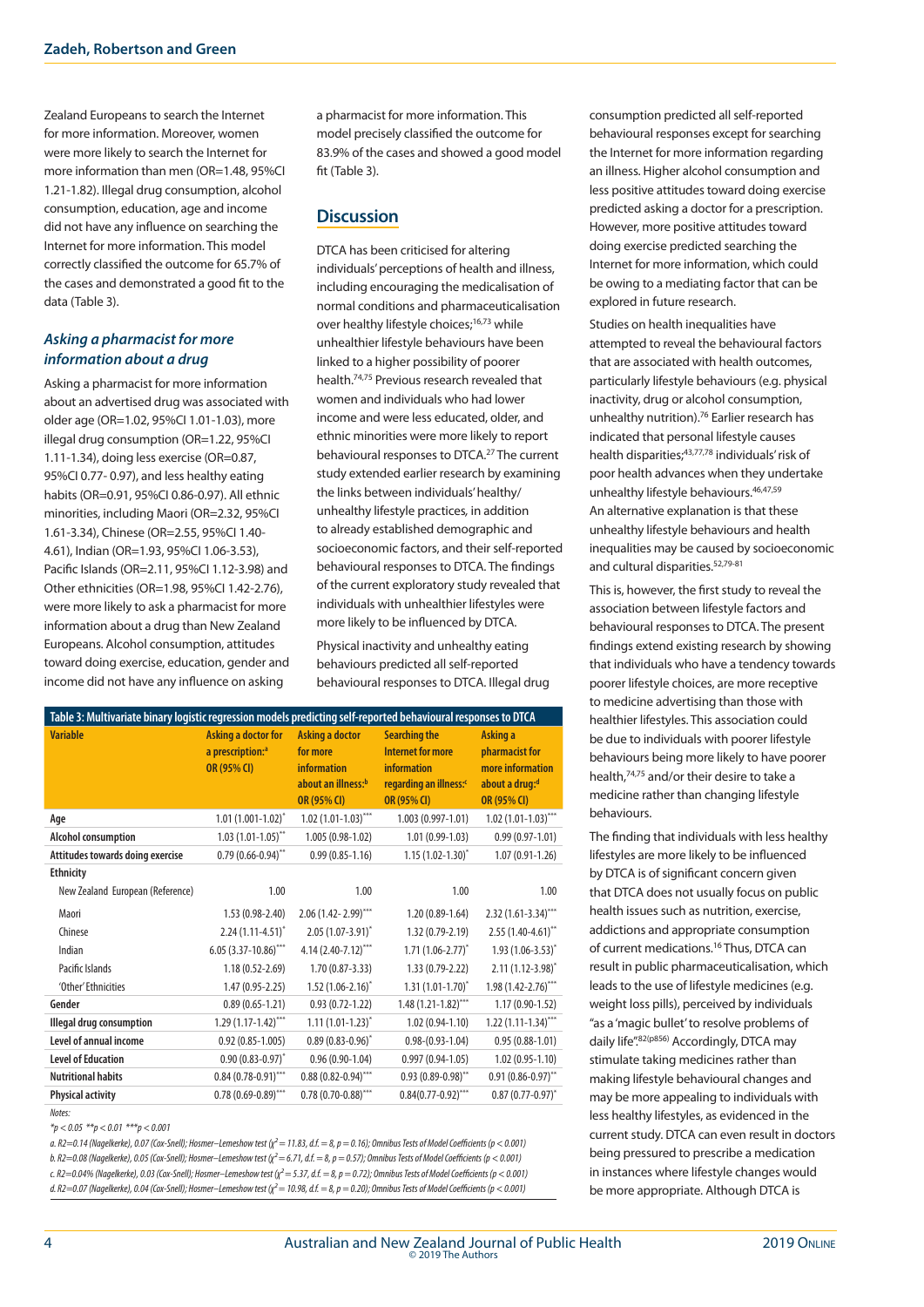Zealand Europeans to search the Internet for more information. Moreover, women were more likely to search the Internet for more information than men (OR=1.48, 95%CI 1.21-1.82). Illegal drug consumption, alcohol consumption, education, age and income did not have any influence on searching the Internet for more information. This model correctly classified the outcome for 65.7% of the cases and demonstrated a good fit to the data (Table 3).

## *Asking a pharmacist for more information about a drug*

Asking a pharmacist for more information about an advertised drug was associated with older age (OR=1.02, 95%CI 1.01-1.03), more illegal drug consumption (OR=1.22, 95%CI) 1.11-1.34), doing less exercise (OR=0.87, 95%CI 0.77- 0.97), and less healthy eating habits (OR=0.91, 95%CI 0.86-0.97). All ethnic minorities, including Maori (OR=2.32, 95%CI 1.61-3.34), Chinese (OR=2.55, 95%CI 1.40- 4.61), Indian (OR=1.93, 95%CI 1.06-3.53), Pacific Islands (OR=2.11, 95%CI 1.12-3.98) and Other ethnicities (OR=1.98, 95%CI 1.42-2.76), were more likely to ask a pharmacist for more information about a drug than New Zealand Europeans. Alcohol consumption, attitudes toward doing exercise, education, gender and income did not have any influence on asking

a pharmacist for more information. This model precisely classified the outcome for 83.9% of the cases and showed a good model fit (Table 3).

# **Discussion**

DTCA has been criticised for altering individuals' perceptions of health and illness, including encouraging the medicalisation of normal conditions and pharmaceuticalisation over healthy lifestyle choices;<sup>16,73</sup> while unhealthier lifestyle behaviours have been linked to a higher possibility of poorer health.74,75 Previous research revealed that women and individuals who had lower income and were less educated, older, and ethnic minorities were more likely to report behavioural responses to DTCA.<sup>27</sup> The current study extended earlier research by examining the links between individuals' healthy/ unhealthy lifestyle practices*,* in addition to already established demographic and socioeconomic factors, and their self-reported behavioural responses to DTCA. The findings of the current exploratory study revealed that individuals with unhealthier lifestyles were more likely to be influenced by DTCA.

Physical inactivity and unhealthy eating behaviours predicted all self-reported behavioural responses to DTCA. Illegal drug

| Table 3: Multivariate binary logistic regression models predicting self-reported behavioural responses to DTCA |                                                                    |                                                                                               |                                                                                                                 |                                                                                             |  |  |  |
|----------------------------------------------------------------------------------------------------------------|--------------------------------------------------------------------|-----------------------------------------------------------------------------------------------|-----------------------------------------------------------------------------------------------------------------|---------------------------------------------------------------------------------------------|--|--|--|
| <b>Variable</b>                                                                                                | Asking a doctor for<br>a prescription: <sup>a</sup><br>OR (95% CI) | <b>Asking a doctor</b><br>for more<br><b>information</b><br>about an illness:b<br>OR (95% CI) | <b>Searching the</b><br><b>Internet for more</b><br><b>information</b><br>regarding an illness:"<br>OR (95% CI) | Asking a<br>pharmacist for<br>more information<br>about a drug: <sup>d</sup><br>OR (95% CI) |  |  |  |
| Age                                                                                                            | $1.01(1.001-1.02)^{*}$                                             | $1.02$ (1.01-1.03) <sup>***</sup>                                                             | 1.003 (0.997-1.01)                                                                                              | $1.02(1.01-1.03)$ ***                                                                       |  |  |  |
| <b>Alcohol consumption</b>                                                                                     | $1.03(1.01-1.05)$ **                                               | $1.005(0.98-1.02)$                                                                            | $1.01(0.99-1.03)$                                                                                               | $0.99(0.97 - 1.01)$                                                                         |  |  |  |
| Attitudes towards doing exercise                                                                               | $0.79(0.66-0.94)$ **                                               | $0.99(0.85 - 1.16)$                                                                           | $1.15(1.02 - 1.30)^{*}$                                                                                         | $1.07(0.91-1.26)$                                                                           |  |  |  |
| <b>Ethnicity</b>                                                                                               |                                                                    |                                                                                               |                                                                                                                 |                                                                                             |  |  |  |
| New Zealand European (Reference)                                                                               | 1.00                                                               | 1.00                                                                                          | 1.00                                                                                                            | 1.00                                                                                        |  |  |  |
| Maori                                                                                                          | $1.53(0.98-2.40)$                                                  | $2.06(1.42 - 2.99)$ ***                                                                       | $1.20(0.89-1.64)$                                                                                               | 2.32 (1.61-3.34)***                                                                         |  |  |  |
| Chinese                                                                                                        | $2.24(1.11-4.51)^{*}$                                              | $2.05(1.07-3.91)^{*}$                                                                         | $1.32(0.79-2.19)$                                                                                               | $2.55(1.40-4.61)$ **                                                                        |  |  |  |
| Indian                                                                                                         | $6.05(3.37-10.86)$ ***                                             | 4.14 $(2.40 - 7.12)$ ***                                                                      | $1.71(1.06 - 2.77)^{*}$                                                                                         | $1.93(1.06-3.53)^{*}$                                                                       |  |  |  |
| Pacific Islands                                                                                                | $1.18(0.52 - 2.69)$                                                | $1.70(0.87 - 3.33)$                                                                           | $1.33(0.79-2.22)$                                                                                               | 2.11 (1.12-3.98)*                                                                           |  |  |  |
| 'Other' Ethnicities                                                                                            | $1.47(0.95 - 2.25)$                                                | $1.52(1.06-2.16)^{*}$                                                                         | $1.31(1.01-1.70)^{*}$                                                                                           | $1.98(1.42 - 2.76)$ ***                                                                     |  |  |  |
| Gender                                                                                                         | $0.89(0.65 - 1.21)$                                                | $0.93(0.72 - 1.22)$                                                                           | $1.48(1.21-1.82)$ ***                                                                                           | $1.17(0.90-1.52)$                                                                           |  |  |  |
| Illegal drug consumption                                                                                       | $1.29(1.17-1.42)$ ***                                              | $1.11(1.01-1.23)^{*}$                                                                         | $1.02(0.94-1.10)$                                                                                               | $1.22(1.11-1.34)$ ***                                                                       |  |  |  |
| Level of annual income                                                                                         | $0.92(0.85 - 1.005)$                                               | $0.89(0.83 - 0.96)^{*}$                                                                       | $0.98 - (0.93 - 1.04)$                                                                                          | $0.95(0.88 - 1.01)$                                                                         |  |  |  |
| <b>Level of Education</b>                                                                                      | $0.90(0.83 - 0.97)^{*}$                                            | $0.96(0.90-1.04)$                                                                             | $0.997(0.94-1.05)$                                                                                              | $1.02(0.95 - 1.10)$                                                                         |  |  |  |
| <b>Nutritional habits</b>                                                                                      | $0.84(0.78-0.91)$ ***                                              | $0.88(0.82 - 0.94)$ ***                                                                       | $0.93(0.89 - 0.98)$ **                                                                                          | $0.91(0.86 - 0.97)$ **                                                                      |  |  |  |
| <b>Physical activity</b>                                                                                       | $0.78(0.69 - 0.89)$ ***                                            | $0.78(0.70-0.88)$ ***                                                                         | $0.84(0.77-0.92)$ ***                                                                                           | $0.87(0.77-0.97)^{*}$                                                                       |  |  |  |
|                                                                                                                |                                                                    |                                                                                               |                                                                                                                 |                                                                                             |  |  |  |

*Notes:*

*\*p < 0.05 \*\*p < 0.01 \*\*\*p < 0.001*

*a. R2=0.14 (Nagelkerke), 0.07 (Cox-Snell); Hosmer–Lemeshow test (χ² = 11.83, d.f. = 8, p = 0.16); Omnibus Tests of Model Coefficients (p < 0.001) b. R2=0.08 (Nagelkerke), 0.05 (Cox-Snell); Hosmer–Lemeshow test (χ² = 6.71, d.f. = 8, p = 0.57); Omnibus Tests of Model Coefficients (p < 0.001) c. R2=0.04% (Nagelkerke), 0.03 (Cox-Snell); Hosmer–Lemeshow test (χ² = 5.37, d.f. = 8, p = 0.72); Omnibus Tests of Model Coefficients (p < 0.001) d. R2=0.07 (Nagelkerke), 0.04 (Cox-Snell); Hosmer–Lemeshow test (χ² = 10.98, d.f. = 8, p = 0.20); Omnibus Tests of Model Coefficients (p < 0.001)*  consumption predicted all self-reported behavioural responses except for searching the Internet for more information regarding an illness. Higher alcohol consumption and less positive attitudes toward doing exercise predicted asking a doctor for a prescription. However, more positive attitudes toward doing exercise predicted searching the Internet for more information, which could be owing to a mediating factor that can be explored in future research.

Studies on health inequalities have attempted to reveal the behavioural factors that are associated with health outcomes, particularly lifestyle behaviours (e.g. physical inactivity, drug or alcohol consumption, unhealthy nutrition).76 Earlier research has indicated that personal lifestyle causes health disparities;43,77,78 individuals' risk of poor health advances when they undertake unhealthy lifestyle behaviours.46,47,59 An alternative explanation is that these unhealthy lifestyle behaviours and health inequalities may be caused by socioeconomic and cultural disparities.<sup>52,79-81</sup>

This is, however, the first study to reveal the association between lifestyle factors and behavioural responses to DTCA. The present findings extend existing research by showing that individuals who have a tendency towards poorer lifestyle choices, are more receptive to medicine advertising than those with healthier lifestyles. This association could be due to individuals with poorer lifestyle behaviours being more likely to have poorer health,74,75 and/or their desire to take a medicine rather than changing lifestyle behaviours.

The finding that individuals with less healthy lifestyles are more likely to be influenced by DTCA is of significant concern given that DTCA does not usually focus on public health issues such as nutrition, exercise, addictions and appropriate consumption of current medications.16 Thus, DTCA can result in public pharmaceuticalisation, which leads to the use of lifestyle medicines (e.g. weight loss pills), perceived by individuals "as a 'magic bullet' to resolve problems of daily life".82(p856) Accordingly, DTCA may stimulate taking medicines rather than making lifestyle behavioural changes and may be more appealing to individuals with less healthy lifestyles, as evidenced in the current study. DTCA can even result in doctors being pressured to prescribe a medication in instances where lifestyle changes would be more appropriate. Although DTCA is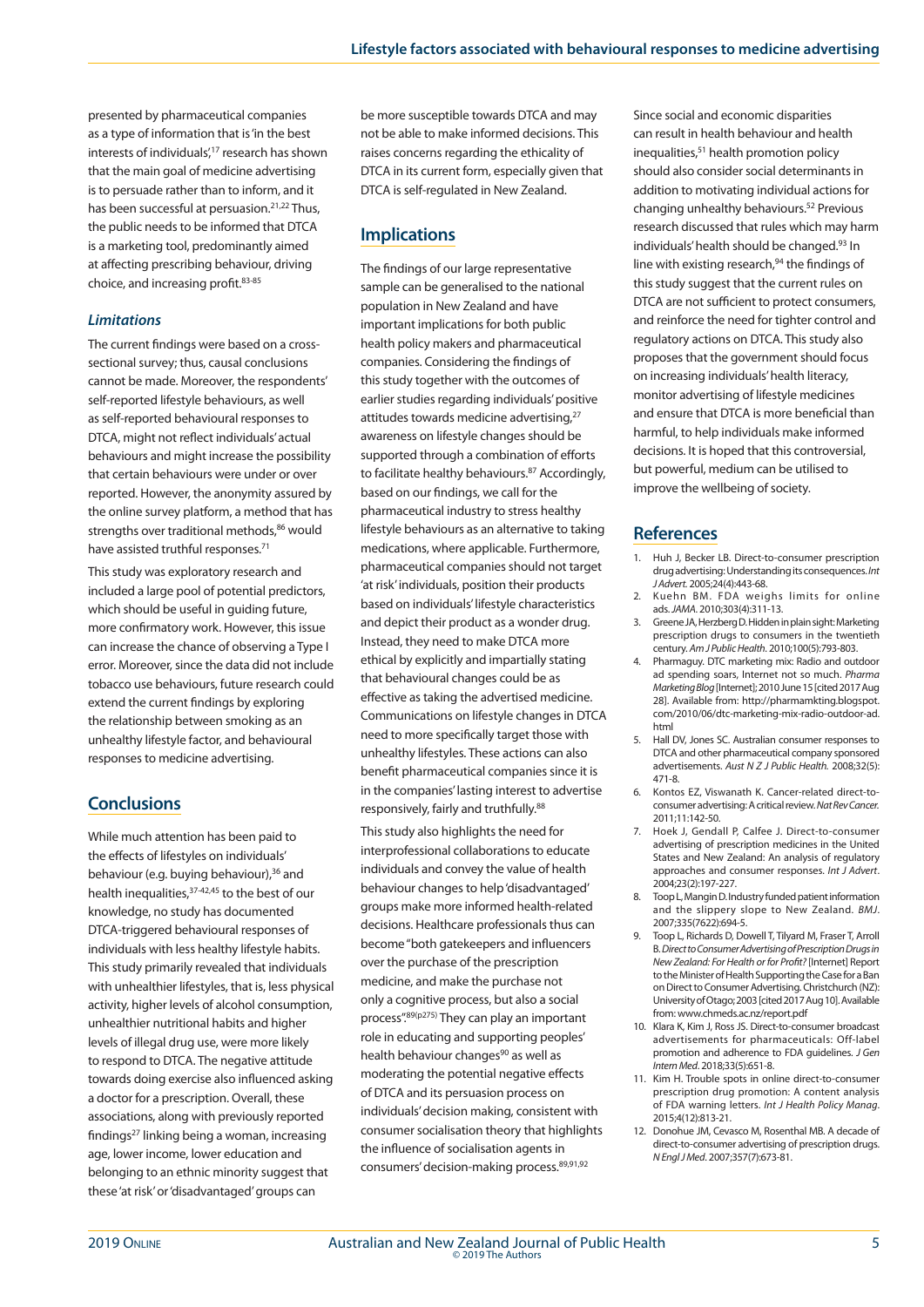presented by pharmaceutical companies as a type of information that is 'in the best interests of individuals',17 research has shown that the main goal of medicine advertising is to persuade rather than to inform, and it has been successful at persuasion.<sup>21,22</sup> Thus, the public needs to be informed that DTCA is a marketing tool, predominantly aimed at affecting prescribing behaviour, driving choice, and increasing profit.<sup>83-85</sup>

#### *Limitations*

The current findings were based on a crosssectional survey; thus, causal conclusions cannot be made. Moreover, the respondents' self-reported lifestyle behaviours, as well as self-reported behavioural responses to DTCA, might not reflect individuals' actual behaviours and might increase the possibility that certain behaviours were under or over reported. However, the anonymity assured by the online survey platform, a method that has strengths over traditional methods,<sup>86</sup> would have assisted truthful responses.<sup>71</sup>

This study was exploratory research and included a large pool of potential predictors, which should be useful in guiding future, more confirmatory work. However, this issue can increase the chance of observing a Type I error. Moreover, since the data did not include tobacco use behaviours, future research could extend the current findings by exploring the relationship between smoking as an unhealthy lifestyle factor, and behavioural responses to medicine advertising.

# **Conclusions**

While much attention has been paid to the effects of lifestyles on individuals' behaviour (e.g. buying behaviour),<sup>36</sup> and health inequalities, <sup>37-42,45</sup> to the best of our knowledge, no study has documented DTCA-triggered behavioural responses of individuals with less healthy lifestyle habits. This study primarily revealed that individuals with unhealthier lifestyles, that is, less physical activity, higher levels of alcohol consumption, unhealthier nutritional habits and higher levels of illegal drug use, were more likely to respond to DTCA. The negative attitude towards doing exercise also influenced asking a doctor for a prescription. Overall, these associations, along with previously reported findings27 linking being a woman, increasing age, lower income, lower education and belonging to an ethnic minority suggest that these 'at risk' or 'disadvantaged' groups can

be more susceptible towards DTCA and may not be able to make informed decisions. This raises concerns regarding the ethicality of DTCA in its current form, especially given that DTCA is self-regulated in New Zealand.

# **Implications**

The findings of our large representative sample can be generalised to the national population in New Zealand and have important implications for both public health policy makers and pharmaceutical companies. Considering the findings of this study together with the outcomes of earlier studies regarding individuals' positive attitudes towards medicine advertising,<sup>27</sup> awareness on lifestyle changes should be supported through a combination of efforts to facilitate healthy behaviours.<sup>87</sup> Accordingly, based on our findings, we call for the pharmaceutical industry to stress healthy lifestyle behaviours as an alternative to taking medications, where applicable. Furthermore, pharmaceutical companies should not target 'at risk' individuals, position their products based on individuals' lifestyle characteristics and depict their product as a wonder drug. Instead, they need to make DTCA more ethical by explicitly and impartially stating that behavioural changes could be as effective as taking the advertised medicine. Communications on lifestyle changes in DTCA need to more specifically target those with unhealthy lifestyles. These actions can also benefit pharmaceutical companies since it is in the companies' lasting interest to advertise responsively, fairly and truthfully.<sup>88</sup>

This study also highlights the need for interprofessional collaborations to educate individuals and convey the value of health behaviour changes to help 'disadvantaged' groups make more informed health-related decisions. Healthcare professionals thus can become "both gatekeepers and influencers over the purchase of the prescription medicine, and make the purchase not only a cognitive process, but also a social process".<sup>89(p275)</sup> They can play an important role in educating and supporting peoples' health behaviour changes<sup>90</sup> as well as moderating the potential negative effects of DTCA and its persuasion process on individuals' decision making, consistent with consumer socialisation theory that highlights the influence of socialisation agents in consumers' decision-making process.<sup>89,91,92</sup>

Since social and economic disparities can result in health behaviour and health inequalities,<sup>51</sup> health promotion policy should also consider social determinants in addition to motivating individual actions for changing unhealthy behaviours.52 Previous research discussed that rules which may harm individuals' health should be changed.<sup>93</sup> In line with existing research,<sup>94</sup> the findings of this study suggest that the current rules on DTCA are not sufficient to protect consumers, and reinforce the need for tighter control and regulatory actions on DTCA. This study also proposes that the government should focus on increasing individuals' health literacy, monitor advertising of lifestyle medicines and ensure that DTCA is more beneficial than harmful, to help individuals make informed decisions. It is hoped that this controversial, but powerful, medium can be utilised to improve the wellbeing of society.

# **References**

- 1. Huh J, Becker LB. Direct-to-consumer prescription drug advertising: Understanding its consequences. *Int J Advert.* 2005;24(4):443-68.
- 2. Kuehn BM. FDA weighs limits for online ads. *JAMA*. 2010;303(4):311-13.
- 3. Greene JA, Herzberg D. Hidden in plain sight: Marketing prescription drugs to consumers in the twentieth century. *Am J Public Health*. 2010;100(5):793-803.
- 4. Pharmaguy. DTC marketing mix: Radio and outdoor ad spending soars, Internet not so much. *Pharma Marketing Blog* [Internet]; 2010 June 15 [cited 2017 Aug 28]. Available from: http://pharmamkting.blogspot. com/2010/06/dtc-marketing-mix-radio-outdoor-ad. html
- 5. Hall DV, Jones SC. Australian consumer responses to DTCA and other pharmaceutical company sponsored advertisements. *Aust N Z J Public Health.* 2008;32(5): 471-8.
- 6. Kontos EZ, Viswanath K. Cancer-related direct-toconsumer advertising: A critical review. *Nat Rev Cancer.*  2011;11:142-50.
- Hoek J, Gendall P, Calfee J. Direct-to-consumer advertising of prescription medicines in the United States and New Zealand: An analysis of regulatory approaches and consumer responses. *Int J Advert*. 2004;23(2):197-227.
- Toop L, Mangin D. Industry funded patient information and the slippery slope to New Zealand. *BMJ*. 2007;335(7622):694-5.
- 9. Toop L, Richards D, Dowell T, Tilyard M, Fraser T, Arroll B. *Direct to Consumer Advertising of Prescription Drugs in New Zealand: For Health or for Profit?* [Internet] Report to the Minister of Health Supporting the Case for a Ban on Direct to Consumer Advertising. Christchurch (NZ): University of Otago; 2003 [cited 2017 Aug 10]. Available from: www.chmeds.ac.nz/report.pdf
- 10. Klara K, Kim J, Ross JS. Direct-to-consumer broadcast advertisements for pharmaceuticals: Off-label promotion and adherence to FDA guidelines. *J Gen Intern Med*. 2018;33(5):651-8.
- 11. Kim H. Trouble spots in online direct-to-consumer prescription drug promotion: A content analysis of FDA warning letters. *Int J Health Policy Manag*. 2015;4(12):813-21.
- 12. Donohue JM, Cevasco M, Rosenthal MB. A decade of direct-to-consumer advertising of prescription drugs. *N Engl J Med*. 2007;357(7):673-81.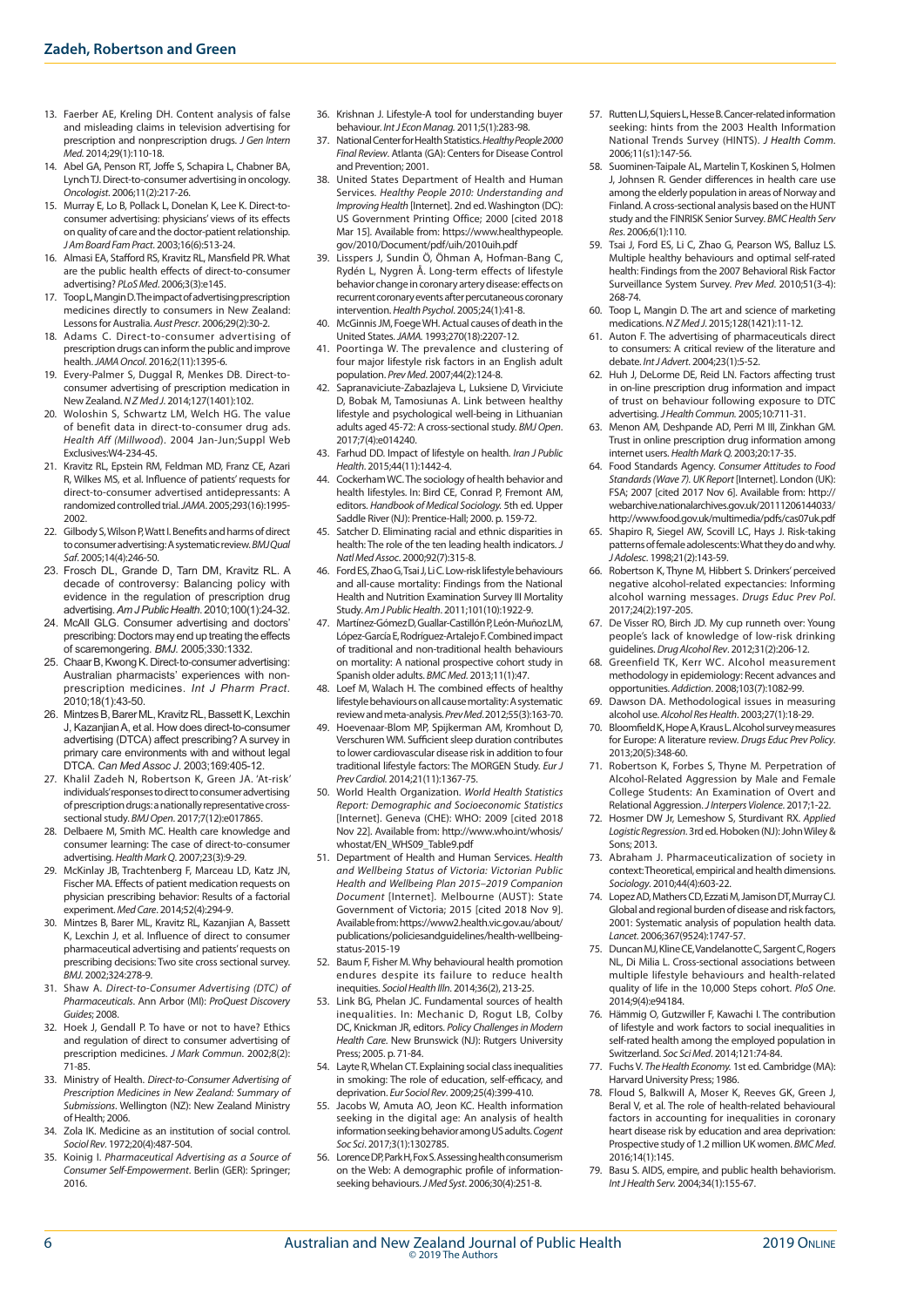- 13. Faerber AE, Kreling DH. Content analysis of false and misleading claims in television advertising for prescription and nonprescription drugs. *J Gen Intern Med.* 2014;29(1):110-18.
- 14. Abel GA, Penson RT, Joffe S, Schapira L, Chabner BA, Lynch TJ. Direct-to-consumer advertising in oncology. *Oncologist*. 2006;11(2):217-26.
- 15. Murray E, Lo B, Pollack L, Donelan K, Lee K. Direct-toconsumer advertising: physicians' views of its effects on quality of care and the doctor-patient relationship. *J Am Board Fam Pract*. 2003;16(6):513-24.
- 16. Almasi EA, Stafford RS, Kravitz RL, Mansfield PR. What are the public health effects of direct-to-consumer advertising? *PLoS Med*. 2006;3(3):e145.
- 17. Toop L, Mangin D. The impact of advertising prescription medicines directly to consumers in New Zealand: Lessons for Australia. *Aust Prescr*. 2006;29(2):30-2.
- 18. Adams C. Direct-to-consumer advertising of prescription drugs can inform the public and improve health. *JAMA Oncol*. 2016;2(11):1395-6.
- 19. Every-Palmer S, Duggal R, Menkes DB. Direct-toconsumer advertising of prescription medication in New Zealand. *N Z Med J*. 2014;127(1401):102.
- 20. Woloshin S, Schwartz LM, Welch HG. The value of benefit data in direct-to-consumer drug ads. *Health Aff (Millwood*). 2004 Jan-Jun;Suppl Web Exclusives:W4-234-45.
- 21. Kravitz RL, Epstein RM, Feldman MD, Franz CE, Azari R, Wilkes MS, et al. Influence of patients' requests for direct-to-consumer advertised antidepressants: A randomized controlled trial. *JAMA*. 2005;293(16):1995- 2002.
- 22. Gilbody S, Wilson P, Watt I. Benefits and harms of direct to consumer advertising: A systematic review. *BMJ Qual Saf*. 2005;14(4):246-50.
- 23. Frosch DL, Grande D, Tarn DM, Kravitz RL. A decade of controversy: Balancing policy with evidence in the regulation of prescription drug advertising.*Am J Public Health*. 2010;100(1):24-32.
- 24. McAll GLG. Consumer advertising and doctors' prescribing: Doctors may end up treating the effects of scaremongering. *BMJ.* 2005;330:1332.
- 25. Chaar B, Kwong K. Direct‐to‐consumer advertising: Australian pharmacists' experiences with non‐ prescription medicines. *Int J Pharm Pract*. 2010;18(1):43-50.
- 26. Mintzes B, Barer ML, Kravitz RL, Bassett K, Lexchin J, Kazanjian A, et al. How does direct-to-consumer advertising (DTCA) affect prescribing? A survey in primary care environments with and without legal DTCA. *Can Med Assoc J*. 2003;169:405-12.
- 27. Khalil Zadeh N, Robertson K, Green JA. 'At-risk' individuals' responses to direct to consumer advertising of prescription drugs: a nationally representative crosssectional study. *BMJ Open*. 2017;7(12):e017865.
- Delbaere M, Smith MC. Health care knowledge and consumer learning: The case of direct-to-consumer advertising. *Health Mark Q*. 2007;23(3):9-29.
- 29. McKinlay JB, Trachtenberg F, Marceau LD, Katz JN, Fischer MA. Effects of patient medication requests on physician prescribing behavior: Results of a factorial experiment. *Med Care*. 2014;52(4):294-9.
- 30. Mintzes B, Barer ML, Kravitz RL, Kazanjian A, Bassett K, Lexchin J, et al. Influence of direct to consumer pharmaceutical advertising and patients' requests on prescribing decisions: Two site cross sectional survey. *BMJ.* 2002;324:278-9.
- 31. Shaw A. *Direct-to-Consumer Advertising (DTC) of Pharmaceuticals*. Ann Arbor (MI): *ProQuest Discovery Guides*; 2008.
- 32. Hoek J, Gendall P. To have or not to have? Ethics and regulation of direct to consumer advertising of prescription medicines. *J Mark Commun*. 2002;8(2): 71-85.
- 33. Ministry of Health. *Direct-to-Consumer Advertising of Prescription Medicines in New Zealand: Summary of Submissions*. Wellington (NZ): New Zealand Ministry of Health; 2006.
- 34. Zola IK. Medicine as an institution of social control. *Sociol Rev*. 1972;20(4):487-504.
- 35. Koinig I. *Pharmaceutical Advertising as a Source of Consumer Self-Empowerment*. Berlin (GER): Springer; 2016.
- 36. Krishnan J. Lifestyle-A tool for understanding buyer behaviour. *Int J Econ Manag.* 2011;5(1):283-98.
- 37. National Center for Health Statistics. *Healthy People 2000 Final Review*. Atlanta (GA): Centers for Disease Control and Prevention; 2001.
- 38. United States Department of Health and Human Services. *Healthy People 2010: Understanding and Improving Health* [Internet]. 2nd ed. Washington (DC): US Government Printing Office; 2000 [cited 2018 Mar 15]. Available from: https://www.healthypeople. gov/2010/Document/pdf/uih/2010uih.pdf
- 39. Lisspers J, Sundin Ö, Öhman A, Hofman-Bang C, Rydén L, Nygren Å. Long-term effects of lifestyle behavior change in coronary artery disease: effects on recurrent coronary events after percutaneous coronary intervention. *Health Psychol*. 2005;24(1):41-8.
- 40. McGinnis JM, Foege WH. Actual causes of death in the United States. *JAMA.* 1993;270(18):2207-12.
- 41. Poortinga W. The prevalence and clustering of four major lifestyle risk factors in an English adult population. *Prev Med*. 2007;44(2):124-8.
- 42. Sapranaviciute-Zabazlajeva L, Luksiene D, Virviciute D, Bobak M, Tamosiunas A. Link between healthy lifestyle and psychological well-being in Lithuanian adults aged 45-72: A cross-sectional study. *BMJ Open*. 2017;7(4):e014240.
- 43. Farhud DD. Impact of lifestyle on health. *Iran J Public Health*. 2015;44(11):1442-4.
- 44. Cockerham WC. The sociology of health behavior and health lifestyles. In: Bird CE, Conrad P, Fremont AM, editors. *Handbook of Medical Sociology.* 5th ed. Upper Saddle River (NJ): Prentice-Hall; 2000. p. 159-72.
- Satcher D. Eliminating racial and ethnic disparities in health: The role of the ten leading health indicators. *J Natl Med Assoc*. 2000;92(7):315-8.
- 46. Ford ES, Zhao G, Tsai J, Li C. Low-risk lifestyle behaviours and all-cause mortality: Findings from the National Health and Nutrition Examination Survey III Mortality Study. *Am J Public Health*. 2011;101(10):1922-9.
- 47. Martínez-Gómez D, Guallar-Castillón P, León-Muñoz LM, López-García E, Rodríguez-Artalejo F. Combined impact of traditional and non-traditional health behaviours on mortality: A national prospective cohort study in Spanish older adults. *BMC Med*. 2013;11(1):47.
- 48. Loef M, Walach H. The combined effects of healthy lifestyle behaviours on all cause mortality: A systematic review and meta-analysis*. Prev Med*.2012;55(3):163-70.
- 49. Hoevenaar-Blom MP, Spijkerman AM, Kromhout D, Verschuren WM. Sufficient sleep duration contributes to lower cardiovascular disease risk in addition to four traditional lifestyle factors: The MORGEN Study. *Eur J Prev Cardiol.* 2014;21(11):1367-75.
- 50. World Health Organization. *World Health Statistics Report: Demographic and Socioeconomic Statistics* [Internet]. Geneva (CHE): WHO: 2009 [cited 2018 Nov 22]. Available from: http://www.who.int/whosis/ whostat/EN\_WHS09\_Table9.pdf
- 51. Department of Health and Human Services. *Health and Wellbeing Status of Victoria: Victorian Public Health and Wellbeing Plan 2015–2019 Companion Document* [Internet]*.* Melbourne (AUST): State Government of Victoria; 2015 [cited 2018 Nov 9]. Available from: https://www2.health.vic.gov.au/about/ publications/policiesandguidelines/health-wellbeingstatus-2015-19
- 52. Baum F, Fisher M. Why behavioural health promotion endures despite its failure to reduce health inequities. *Sociol Health Illn*. 2014;36(2), 213-25.
- 53. Link BG, Phelan JC. Fundamental sources of health inequalities. In: Mechanic D, Rogut LB, Colby DC, Knickman JR, editors. *Policy Challenges in Modern Health Care*. New Brunswick (NJ): Rutgers University Press; 2005. p. 71-84.
- 54. Layte R, Whelan CT. Explaining social class inequalities in smoking: The role of education, self-efficacy, and deprivation. *Eur Sociol Rev*. 2009;25(4):399-410.
- 55. Jacobs W, Amuta AO, Jeon KC. Health information seeking in the digital age: An analysis of health information seeking behavior among US adults. *Cogent Soc Sci*. 2017;3(1):1302785.
- 56. Lorence DP, Park H, Fox S. Assessing health consumerism on the Web: A demographic profile of informationseeking behaviours. *J Med Syst*. 2006;30(4):251-8.
- 57. Rutten LJ, Squiers L, Hesse B, Cancer-related information seeking: hints from the 2003 Health Information National Trends Survey (HINTS). *J Health Comm*. 2006;11(s1):147-56.
- 58. Suominen-Taipale AL, Martelin T, Koskinen S, Holmen J, Johnsen R. Gender differences in health care use among the elderly population in areas of Norway and Finland. A cross-sectional analysis based on the HUNT study and the FINRISK Senior Survey. *BMC Health Serv Res*. 2006;6(1):110.
- 59. Tsai J, Ford ES, Li C, Zhao G, Pearson WS, Balluz LS. Multiple healthy behaviours and optimal self-rated health: Findings from the 2007 Behavioral Risk Factor Surveillance System Survey. *Prev Med*. 2010;51(3-4): 268-74.
- 60. Toop L, Mangin D. The art and science of marketing medications. *N Z Med J*. 2015;128(1421):11-12.
- 61. Auton F. The advertising of pharmaceuticals direct to consumers: A critical review of the literature and debate. *Int J Advert*. 2004;23(1):5-52.
- 62. Huh J, DeLorme DE, Reid LN. Factors affecting trust in on-line prescription drug information and impact of trust on behaviour following exposure to DTC advertising. *J Health Commun.* 2005;10:711-31.
- 63. Menon AM, Deshpande AD, Perri M III, Zinkhan GM. Trust in online prescription drug information among internet users. *Health Mark Q.* 2003;20:17-35.
- 64. Food Standards Agency. *Consumer Attitudes to Food Standards (Wave 7). UK Report* [Internet]. London (UK): FSA; 2007 [cited 2017 Nov 6]. Available from: http:// webarchive.nationalarchives.gov.uk/20111206144033/ http://www.food.gov.uk/multimedia/pdfs/cas07uk.pdf
- 65. Shapiro R, Siegel AW, Scovill LC, Hays J. Risk-taking patterns of female adolescents: What they do and why. *J Adolesc*. 1998;21(2):143-59.
- 66. Robertson K, Thyne M, Hibbert S. Drinkers' perceived negative alcohol-related expectancies: Informing alcohol warning messages. *Drugs Educ Prev Pol*. 2017;24(2):197-205.
- 67. De Visser RO, Birch JD. My cup runneth over: Young people's lack of knowledge of low‐risk drinking guidelines. *Drug Alcohol Rev*. 2012;31(2):206-12.
- 68. Greenfield TK, Kerr WC. Alcohol measurement methodology in epidemiology: Recent advances and opportunities. *Addiction*. 2008;103(7):1082-99.
- 69. Dawson DA. Methodological issues in measuring alcohol use. *Alcohol Res Health*. 2003;27(1):18-29.
- 70. Bloomfield K, Hope A, Kraus L. Alcohol survey measures for Europe: A literature review. *Drugs Educ Prev Policy*. 2013;20(5):348-60.
- 71. Robertson K, Forbes S, Thyne M. Perpetration of Alcohol-Related Aggression by Male and Female College Students: An Examination of Overt and Relational Aggression. *J Interpers Violence*. 2017;1-22.
- 72. Hosmer DW Jr, Lemeshow S, Sturdivant RX. *Applied Logistic Regression*. 3rd ed. Hoboken (NJ): John Wiley & Sons; 2013.
- 73. Abraham J. Pharmaceuticalization of society in context: Theoretical, empirical and health dimensions. *Sociology*. 2010;44(4):603-22.
- 74. Lopez AD, Mathers CD, Ezzati M, Jamison DT, Murray CJ. Global and regional burden of disease and risk factors, 2001: Systematic analysis of population health data. *Lancet*. 2006;367(9524):1747-57.
- 75. Duncan MJ, Kline CE, Vandelanotte C, Sargent C, Rogers NL, Di Milia L. Cross-sectional associations between multiple lifestyle behaviours and health-related quality of life in the 10,000 Steps cohort. *PloS One*. 2014;9(4):e94184.
- 76. Hämmig O, Gutzwiller F, Kawachi I. The contribution of lifestyle and work factors to social inequalities in self-rated health among the employed population in Switzerland. *Soc Sci Med*. 2014;121:74-84.
- 77. Fuchs V. *The Health Economy.* 1st ed. Cambridge (MA): Harvard University Press; 1986.
- 78. Floud S, Balkwill A, Moser K, Reeves GK, Green J, Beral V, et al. The role of health-related behavioural factors in accounting for inequalities in coronary heart disease risk by education and area deprivation: Prospective study of 1.2 million UK women. *BMC Med*. 2016;14(1):145.
- 79. Basu S. AIDS, empire, and public health behaviorism. *Int J Health Serv.* 2004;34(1):155-67.